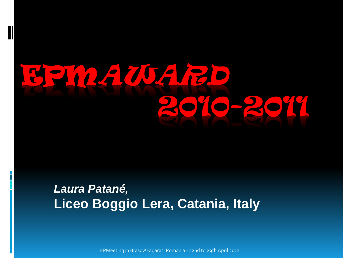## EPMAWARD 2010-2011

### *Laura Patané,*  **Liceo Boggio Lera, Catania, Italy**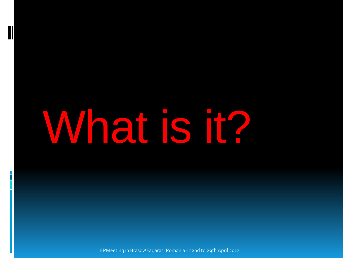# What is it?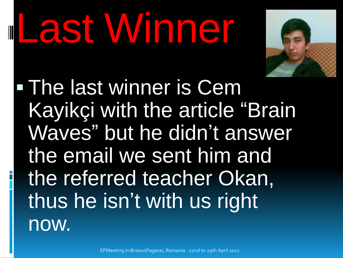# Last Winner



 The last winner is Cem Kayikçi with the article "Brain Waves" but he didn't answer the email we sent him and the referred teacher Okan, thus he isn't with us right now.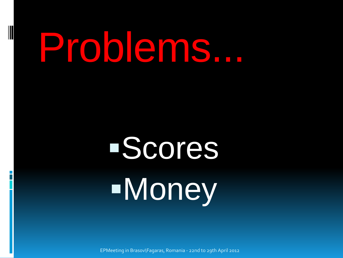## Problems...

## Scores Money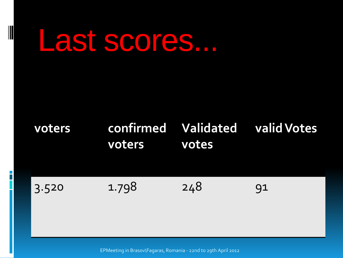### Last scores...

#### **voters confirmed voters Validated votes valid Votes**

3.520 1.798 248 91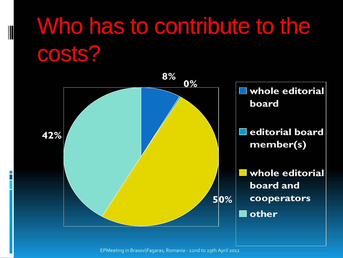### Who has to contribute to the costs?

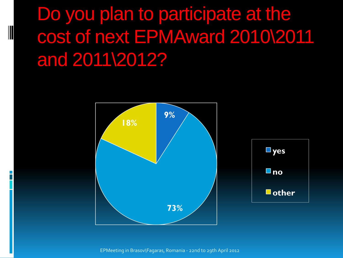Do you plan to participate at the cost of next EPMAward 2010\2011 and 2011\2012?

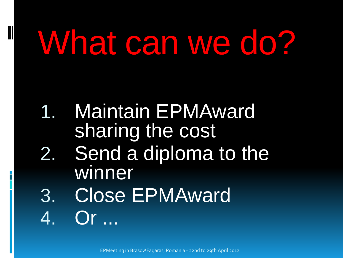## What can we do?

- 1. Maintain EPMAward sharing the cost
- 2. Send a diploma to the winner
- 3. Close EPMAward 4. Or ...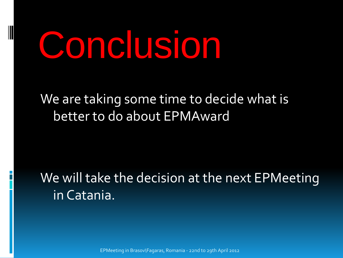## Conclusion

### We are taking some time to decide what is better to do about EPMAward

### We will take the decision at the next EPMeeting in Catania.